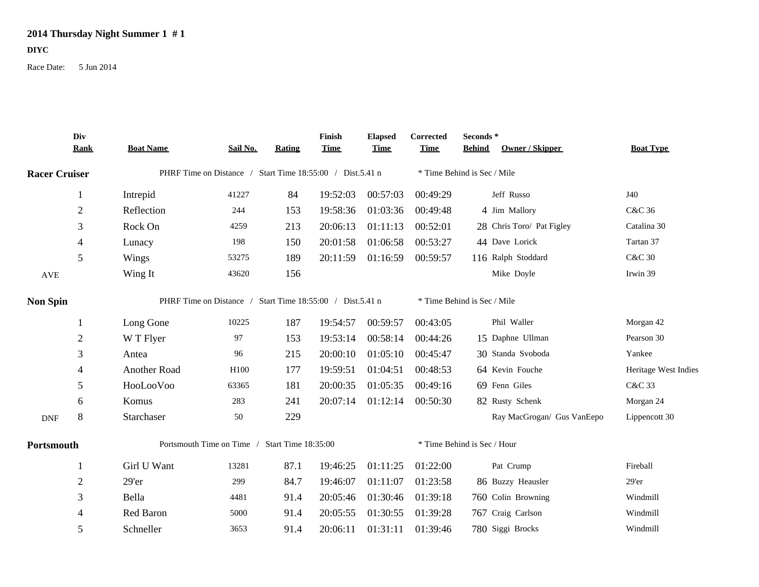## **2014 Thursday Night Summer 1 # 1**

## **DIYC**

Race Date: 5 Jun 2014

|                      | Div<br><b>Rank</b> | <b>Boat Name</b>                                          | Sail No. | <b>Rating</b> | Finish<br><b>Time</b> | <b>Elapsed</b><br><b>Time</b> | Corrected<br><b>Time</b>    | Seconds*<br><b>Behind</b> | Owner / Skipper            | <b>Boat Type</b>     |  |
|----------------------|--------------------|-----------------------------------------------------------|----------|---------------|-----------------------|-------------------------------|-----------------------------|---------------------------|----------------------------|----------------------|--|
| <b>Racer Cruiser</b> |                    | PHRF Time on Distance / Start Time 18:55:00 / Dist.5.41 n |          |               |                       |                               | * Time Behind is Sec / Mile |                           |                            |                      |  |
|                      | $\mathbf{1}$       | Intrepid                                                  | 41227    | 84            | 19:52:03              | 00:57:03                      | 00:49:29                    |                           | Jeff Russo                 | J40                  |  |
|                      | $\sqrt{2}$         | Reflection                                                | 244      | 153           | 19:58:36              | 01:03:36                      | 00:49:48                    |                           | 4 Jim Mallory              | C&C 36               |  |
|                      | $\mathfrak{Z}$     | Rock On                                                   | 4259     | 213           | 20:06:13              | 01:11:13                      | 00:52:01                    |                           | 28 Chris Toro/ Pat Figley  | Catalina 30          |  |
|                      | 4                  | Lunacy                                                    | 198      | 150           | 20:01:58              | 01:06:58                      | 00:53:27                    |                           | 44 Dave Lorick             | Tartan 37            |  |
|                      | 5                  | Wings                                                     | 53275    | 189           | 20:11:59              | 01:16:59                      | 00:59:57                    |                           | 116 Ralph Stoddard         | <b>C&amp;C 30</b>    |  |
| AVE                  |                    | Wing It                                                   | 43620    | 156           |                       |                               |                             |                           | Mike Doyle                 | Irwin 39             |  |
| <b>Non Spin</b>      |                    | PHRF Time on Distance / Start Time 18:55:00 / Dist.5.41 n |          |               |                       |                               | * Time Behind is Sec / Mile |                           |                            |                      |  |
|                      | 1                  | Long Gone                                                 | 10225    | 187           | 19:54:57              | 00:59:57                      | 00:43:05                    |                           | Phil Waller                | Morgan 42            |  |
|                      | $\overline{2}$     | W T Flyer                                                 | 97       | 153           | 19:53:14              | 00:58:14                      | 00:44:26                    |                           | 15 Daphne Ullman           | Pearson 30           |  |
|                      | 3                  | Antea                                                     | 96       | 215           | 20:00:10              | 01:05:10                      | 00:45:47                    |                           | 30 Standa Svoboda          | Yankee               |  |
|                      | $\overline{4}$     | Another Road                                              | H100     | 177           | 19:59:51              | 01:04:51                      | 00:48:53                    |                           | 64 Kevin Fouche            | Heritage West Indies |  |
|                      | 5                  | HooLooVoo                                                 | 63365    | 181           | 20:00:35              | 01:05:35                      | 00:49:16                    |                           | 69 Fenn Giles              | C&C 33               |  |
|                      | 6                  | Komus                                                     | 283      | 241           | 20:07:14              | 01:12:14                      | 00:50:30                    |                           | 82 Rusty Schenk            | Morgan 24            |  |
| $\mathbf{DNF}$       | $\,8\,$            | Starchaser                                                | 50       | 229           |                       |                               |                             |                           | Ray MacGrogan/ Gus VanEepo | Lippencott 30        |  |
| Portsmouth           |                    | Portsmouth Time on Time /<br>Start Time 18:35:00          |          |               |                       |                               | * Time Behind is Sec / Hour |                           |                            |                      |  |
|                      | 1                  | Girl U Want                                               | 13281    | 87.1          | 19:46:25              | 01:11:25                      | 01:22:00                    |                           | Pat Crump                  | Fireball             |  |
|                      | $\sqrt{2}$         | 29'er                                                     | 299      | 84.7          | 19:46:07              | 01:11:07                      | 01:23:58                    |                           | 86 Buzzy Heausler          | $29'$ er             |  |
|                      | 3                  | Bella                                                     | 4481     | 91.4          | 20:05:46              | 01:30:46                      | 01:39:18                    |                           | 760 Colin Browning         | Windmill             |  |
|                      | 4                  | Red Baron                                                 | 5000     | 91.4          | 20:05:55              | 01:30:55                      | 01:39:28                    |                           | 767 Craig Carlson          | Windmill             |  |
|                      | 5                  | Schneller                                                 | 3653     | 91.4          | 20:06:11              | 01:31:11                      | 01:39:46                    |                           | 780 Siggi Brocks           | Windmill             |  |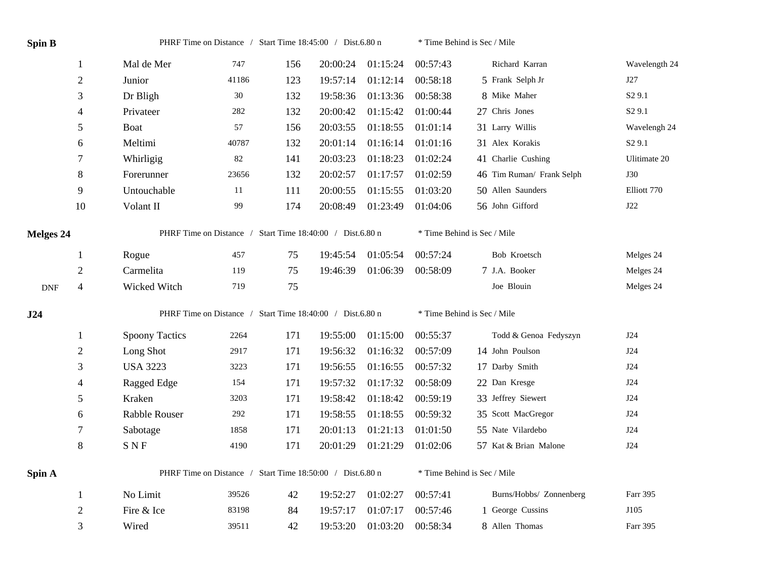| <b>Spin B</b>    |                          | PHRF Time on Distance / Start Time 18:45:00 / Dist.6.80 n |       |     |          |          |          | * Time Behind is Sec / Mile |                    |  |  |
|------------------|--------------------------|-----------------------------------------------------------|-------|-----|----------|----------|----------|-----------------------------|--------------------|--|--|
|                  | $\mathbf{1}$             | Mal de Mer                                                | 747   | 156 | 20:00:24 | 01:15:24 | 00:57:43 | Richard Karran              | Wavelength 24      |  |  |
|                  | $\sqrt{2}$               | Junior                                                    | 41186 | 123 | 19:57:14 | 01:12:14 | 00:58:18 | 5 Frank Selph Jr            | J27                |  |  |
|                  | 3                        | Dr Bligh                                                  | 30    | 132 | 19:58:36 | 01:13:36 | 00:58:38 | 8 Mike Maher                | S <sub>2</sub> 9.1 |  |  |
|                  | $\overline{4}$           | Privateer                                                 | 282   | 132 | 20:00:42 | 01:15:42 | 01:00:44 | 27 Chris Jones              | S <sub>2</sub> 9.1 |  |  |
|                  | 5                        | Boat                                                      | 57    | 156 | 20:03:55 | 01:18:55 | 01:01:14 | 31 Larry Willis             | Wavelengh 24       |  |  |
|                  | 6                        | Meltimi                                                   | 40787 | 132 | 20:01:14 | 01:16:14 | 01:01:16 | 31 Alex Korakis             | S <sub>2</sub> 9.1 |  |  |
|                  | 7                        | Whirligig                                                 | 82    | 141 | 20:03:23 | 01:18:23 | 01:02:24 | 41 Charlie Cushing          | Ulitimate 20       |  |  |
|                  | $\,8\,$                  | Forerunner                                                | 23656 | 132 | 20:02:57 | 01:17:57 | 01:02:59 | 46 Tim Ruman/ Frank Selph   | <b>J30</b>         |  |  |
|                  | 9                        | Untouchable                                               | 11    | 111 | 20:00:55 | 01:15:55 | 01:03:20 | 50 Allen Saunders           | Elliott 770        |  |  |
|                  | 10                       | Volant II                                                 | 99    | 174 | 20:08:49 | 01:23:49 | 01:04:06 | 56 John Gifford             | J22                |  |  |
| <b>Melges 24</b> |                          | PHRF Time on Distance / Start Time 18:40:00 / Dist.6.80 n |       |     |          |          |          | * Time Behind is Sec / Mile |                    |  |  |
|                  | 1                        | Rogue                                                     | 457   | 75  | 19:45:54 | 01:05:54 | 00:57:24 | Bob Kroetsch                | Melges 24          |  |  |
|                  | $\sqrt{2}$               | Carmelita                                                 | 119   | 75  | 19:46:39 | 01:06:39 | 00:58:09 | 7 J.A. Booker               | Melges 24          |  |  |
| <b>DNF</b>       | $\overline{\mathcal{L}}$ | Wicked Witch                                              | 719   | 75  |          |          |          | Joe Blouin                  | Melges 24          |  |  |
| J24              |                          | PHRF Time on Distance / Start Time 18:40:00 / Dist.6.80 n |       |     |          |          |          | * Time Behind is Sec / Mile |                    |  |  |
|                  | 1                        | <b>Spoony Tactics</b>                                     | 2264  | 171 | 19:55:00 | 01:15:00 | 00:55:37 | Todd & Genoa Fedyszyn       | J24                |  |  |
|                  | $\sqrt{2}$               | Long Shot                                                 | 2917  | 171 | 19:56:32 | 01:16:32 | 00:57:09 | 14 John Poulson             | J24                |  |  |
|                  | 3                        | <b>USA 3223</b>                                           | 3223  | 171 | 19:56:55 | 01:16:55 | 00:57:32 | 17 Darby Smith              | J24                |  |  |
|                  | 4                        | Ragged Edge                                               | 154   | 171 | 19:57:32 | 01:17:32 | 00:58:09 | 22 Dan Kresge               | J24                |  |  |
|                  | 5                        | Kraken                                                    | 3203  | 171 | 19:58:42 | 01:18:42 | 00:59:19 | 33 Jeffrey Siewert          | J24                |  |  |
|                  | 6                        | Rabble Rouser                                             | 292   | 171 | 19:58:55 | 01:18:55 | 00:59:32 | 35 Scott MacGregor          | J24                |  |  |
|                  | $\tau$                   | Sabotage                                                  | 1858  | 171 | 20:01:13 | 01:21:13 | 01:01:50 | 55 Nate Vilardebo           | J24                |  |  |
|                  | $\,8\,$                  | <b>SNF</b>                                                | 4190  | 171 | 20:01:29 | 01:21:29 | 01:02:06 | 57 Kat & Brian Malone       | J24                |  |  |
| Spin A           |                          | PHRF Time on Distance / Start Time 18:50:00 / Dist.6.80 n |       |     |          |          |          | * Time Behind is Sec / Mile |                    |  |  |
|                  | $\mathbf{1}$             | No Limit                                                  | 39526 | 42  | 19:52:27 | 01:02:27 | 00:57:41 | Burns/Hobbs/ Zonnenberg     | Farr 395           |  |  |
|                  | $\mathfrak{2}$           | Fire & Ice                                                | 83198 | 84  | 19:57:17 | 01:07:17 | 00:57:46 | 1 George Cussins            | J105               |  |  |
|                  | 3                        | Wired                                                     | 39511 | 42  | 19:53:20 | 01:03:20 | 00:58:34 | 8 Allen Thomas              | Farr 395           |  |  |